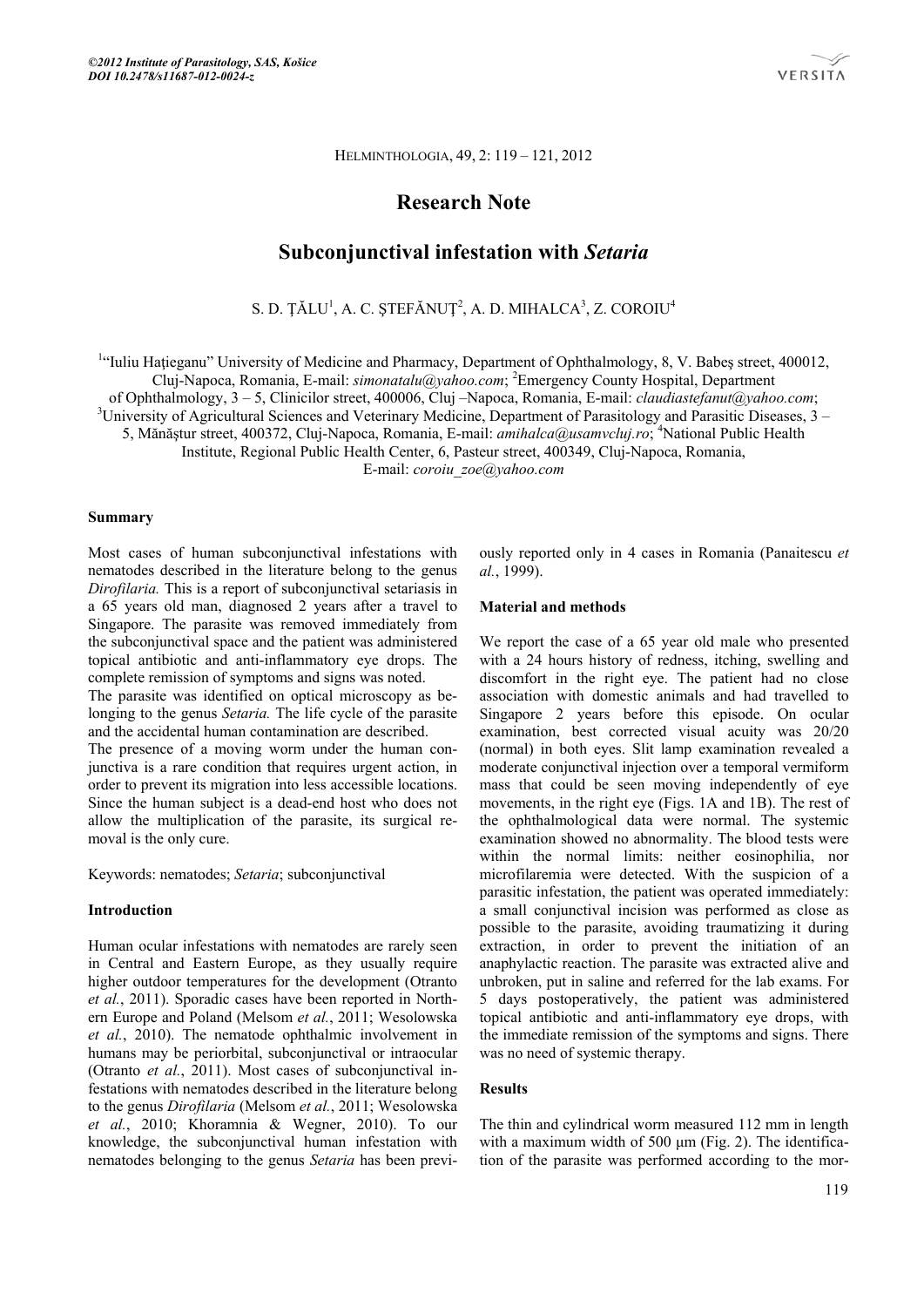HELMINTHOLOGIA, 49, 2: 119 – 121, 2012

# **Research Note**

## **Subconjunctival infestation with** *Setaria*

S. D. ȚĂLU<sup>1</sup>, A. C. ȘTEFĂNUȚ<sup>2</sup>, A. D. MIHALCA<sup>3</sup>, Z. COROIU<sup>4</sup>

<sup>1</sup>"Iuliu Hațieganu" University of Medicine and Pharmacy, Department of Ophthalmology, 8, V. Babeș street, 400012, Cluj-Napoca, Romania, E-mail: *simonatalu@yahoo.com*; <sup>2</sup> Emergency County Hospital, Department of Ophthalmology, 3 – 5, Clinicilor street, 400006, Cluj –Napoca, Romania, E-mail: *claudiastefanut@yahoo.com*; 3

<sup>3</sup>University of Agricultural Sciences and Veterinary Medicine, Department of Parasitology and Parasitic Diseases, 3 –

5, Mănăștur street, 400372, Cluj-Napoca, Romania, E-mail: *amihalca@usamvcluj.ro*; <sup>4</sup>National Public Health

Institute, Regional Public Health Center, 6, Pasteur street, 400349, Cluj-Napoca, Romania,

E-mail: *coroiu\_zoe@yahoo.com*

#### **Summary**

Most cases of human subconjunctival infestations with nematodes described in the literature belong to the genus *Dirofilaria.* This is a report of subconjunctival setariasis in a 65 years old man, diagnosed 2 years after a travel to Singapore. The parasite was removed immediately from the subconjunctival space and the patient was administered topical antibiotic and anti-inflammatory eye drops. The complete remission of symptoms and signs was noted.

The parasite was identified on optical microscopy as belonging to the genus *Setaria.* The life cycle of the parasite and the accidental human contamination are described.

The presence of a moving worm under the human conjunctiva is a rare condition that requires urgent action, in order to prevent its migration into less accessible locations. Since the human subject is a dead-end host who does not allow the multiplication of the parasite, its surgical removal is the only cure.

Keywords: nematodes; *Setaria*; subconjunctival

#### **Introduction**

Human ocular infestations with nematodes are rarely seen in Central and Eastern Europe, as they usually require higher outdoor temperatures for the development (Otranto *et al.*, 2011). Sporadic cases have been reported in Northern Europe and Poland (Melsom *et al.*, 2011; Wesolowska *et al.*, 2010). The nematode ophthalmic involvement in humans may be periorbital, subconjunctival or intraocular (Otranto *et al.*, 2011). Most cases of subconjunctival infestations with nematodes described in the literature belong to the genus *Dirofilaria* (Melsom *et al.*, 2011; Wesolowska *et al.*, 2010; Khoramnia & Wegner, 2010). To our knowledge, the subconjunctival human infestation with nematodes belonging to the genus *Setaria* has been previously reported only in 4 cases in Romania (Panaitescu *et al.*, 1999).

#### **Material and methods**

We report the case of a 65 year old male who presented with a 24 hours history of redness, itching, swelling and discomfort in the right eye. The patient had no close association with domestic animals and had travelled to Singapore 2 years before this episode. On ocular examination, best corrected visual acuity was 20/20 (normal) in both eyes. Slit lamp examination revealed a moderate conjunctival injection over a temporal vermiform mass that could be seen moving independently of eye movements, in the right eye (Figs. 1A and 1B). The rest of the ophthalmological data were normal. The systemic examination showed no abnormality. The blood tests were within the normal limits: neither eosinophilia, nor microfilaremia were detected. With the suspicion of a parasitic infestation, the patient was operated immediately: a small conjunctival incision was performed as close as possible to the parasite, avoiding traumatizing it during extraction, in order to prevent the initiation of an anaphylactic reaction. The parasite was extracted alive and unbroken, put in saline and referred for the lab exams. For 5 days postoperatively, the patient was administered topical antibiotic and anti-inflammatory eye drops, with the immediate remission of the symptoms and signs. There was no need of systemic therapy.

## **Results**

The thin and cylindrical worm measured 112 mm in length with a maximum width of 500 μm (Fig. 2). The identification of the parasite was performed according to the mor-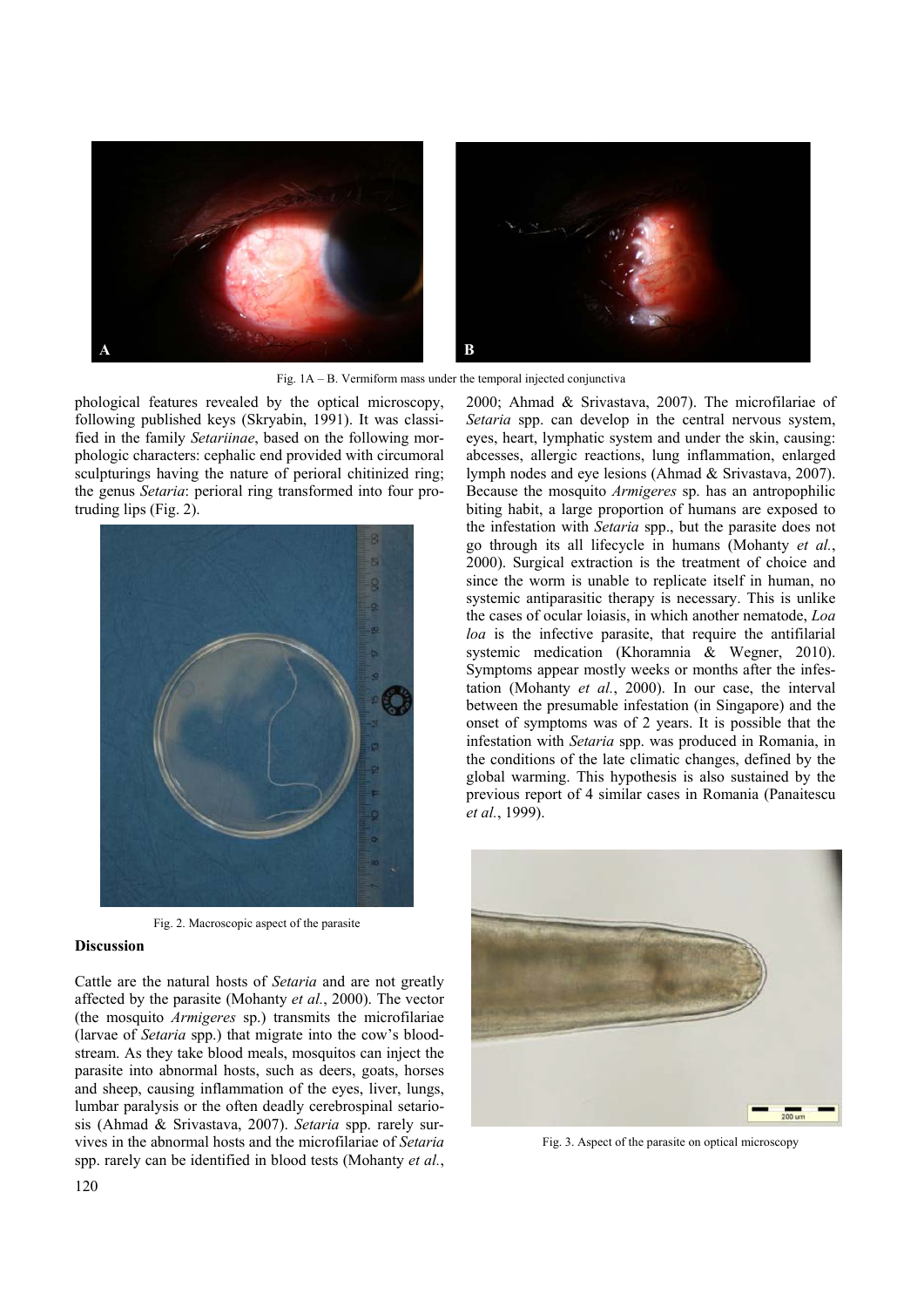



Fig. 1A – B. Vermiform mass under the temporal injected conjunctiva

phological features revealed by the optical microscopy, following published keys (Skryabin, 1991). It was classified in the family *Setariinae*, based on the following morphologic characters: cephalic end provided with circumoral sculpturings having the nature of perioral chitinized ring; the genus *Setaria*: perioral ring transformed into four protruding lips (Fig. 2).



Fig. 2. Macroscopic aspect of the parasite

## **Discussion**

Cattle are the natural hosts of *Setaria* and are not greatly affected by the parasite (Mohanty *et al.*, 2000). The vector (the mosquito *Armigeres* sp.) transmits the microfilariae (larvae of *Setaria* spp.) that migrate into the cow's bloodstream. As they take blood meals, mosquitos can inject the parasite into abnormal hosts, such as deers, goats, horses and sheep, causing inflammation of the eyes, liver, lungs, lumbar paralysis or the often deadly cerebrospinal setariosis (Ahmad & Srivastava, 2007). *Setaria* spp. rarely survives in the abnormal hosts and the microfilariae of *Setaria* spp. rarely can be identified in blood tests (Mohanty *et al.*,

2000; Ahmad & Srivastava, 2007). The microfilariae of *Setaria* spp. can develop in the central nervous system, eyes, heart, lymphatic system and under the skin, causing: abcesses, allergic reactions, lung inflammation, enlarged lymph nodes and eye lesions (Ahmad & Srivastava, 2007). Because the mosquito *Armigeres* sp. has an antropophilic biting habit, a large proportion of humans are exposed to the infestation with *Setaria* spp., but the parasite does not go through its all lifecycle in humans (Mohanty *et al.*, 2000). Surgical extraction is the treatment of choice and since the worm is unable to replicate itself in human, no systemic antiparasitic therapy is necessary. This is unlike the cases of ocular loiasis, in which another nematode, *Loa loa* is the infective parasite, that require the antifilarial systemic medication (Khoramnia & Wegner, 2010). Symptoms appear mostly weeks or months after the infestation (Mohanty *et al.*, 2000). In our case, the interval between the presumable infestation (in Singapore) and the onset of symptoms was of 2 years. It is possible that the infestation with *Setaria* spp. was produced in Romania, in the conditions of the late climatic changes, defined by the global warming. This hypothesis is also sustained by the previous report of 4 similar cases in Romania (Panaitescu *et al.*, 1999).



Fig. 3. Aspect of the parasite on optical microscopy